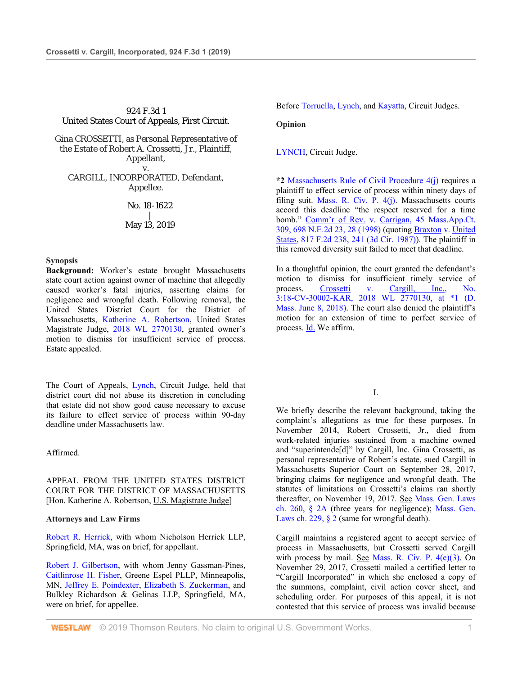# 924 F.3d 1 United States Court of Appeals, First Circuit.

Gina CROSSETTI, as Personal Representative of the Estate of Robert A. Crossetti, Jr., Plaintiff, Appellant, v. CARGILL, INCORPORATED, Defendant, Appellee.

> No. 18-1622 | May 13, 2019

## **Synopsis**

**Background:** Worker's estate brought Massachusetts state court action against owner of machine that allegedly caused worker's fatal injuries, asserting claims for negligence and wrongful death. Following removal, the United States District Court for the District of Massachusetts, Katherine A. Robertson, United States Magistrate Judge, 2018 WL 2770130, granted owner's motion to dismiss for insufficient service of process. Estate appealed.

The Court of Appeals, Lynch, Circuit Judge, held that district court did not abuse its discretion in concluding that estate did not show good cause necessary to excuse its failure to effect service of process within 90-day deadline under Massachusetts law.

Affirmed.

APPEAL FROM THE UNITED STATES DISTRICT COURT FOR THE DISTRICT OF MASSACHUSETTS [Hon. Katherine A. Robertson, U.S. Magistrate Judge]

## **Attorneys and Law Firms**

Robert R. Herrick, with whom Nicholson Herrick LLP, Springfield, MA, was on brief, for appellant.

Robert J. Gilbertson, with whom Jenny Gassman-Pines, Caitlinrose H. Fisher, Greene Espel PLLP, Minneapolis, MN, Jeffrey E. Poindexter, Elizabeth S. Zuckerman, and Bulkley Richardson & Gelinas LLP, Springfield, MA, were on brief, for appellee.

Before Torruella, Lynch, and Kayatta, Circuit Judges.

## **Opinion**

LYNCH, Circuit Judge.

**\*2** Massachusetts Rule of Civil Procedure 4(j) requires a plaintiff to effect service of process within ninety days of filing suit. Mass. R. Civ. P. 4(j). Massachusetts courts accord this deadline "the respect reserved for a time bomb." Comm'r of Rev. v. Carrigan, 45 Mass.App.Ct. 309, 698 N.E.2d 23, 28 (1998) (quoting Braxton v. United States, 817 F.2d 238, 241 (3d Cir. 1987)). The plaintiff in this removed diversity suit failed to meet that deadline.

In a thoughtful opinion, the court granted the defendant's motion to dismiss for insufficient timely service of process. Crossetti v. Cargill, Inc., No. 3:18-CV-30002-KAR, 2018 WL 2770130, at \*1 (D. Mass. June 8, 2018). The court also denied the plaintiff's motion for an extension of time to perfect service of process. **Id.** We affirm.

I.

We briefly describe the relevant background, taking the complaint's allegations as true for these purposes. In November 2014, Robert Crossetti, Jr., died from work-related injuries sustained from a machine owned and "superintende[d]" by Cargill, Inc. Gina Crossetti, as personal representative of Robert's estate, sued Cargill in Massachusetts Superior Court on September 28, 2017, bringing claims for negligence and wrongful death. The statutes of limitations on Crossetti's claims ran shortly thereafter, on November 19, 2017. See Mass. Gen. Laws ch. 260, § 2A (three years for negligence); Mass. Gen. Laws ch. 229, § 2 (same for wrongful death).

Cargill maintains a registered agent to accept service of process in Massachusetts, but Crossetti served Cargill with process by mail. See Mass. R. Civ. P.  $4(e)(3)$ . On November 29, 2017, Crossetti mailed a certified letter to "Cargill Incorporated" in which she enclosed a copy of the summons, complaint, civil action cover sheet, and scheduling order. For purposes of this appeal, it is not contested that this service of process was invalid because